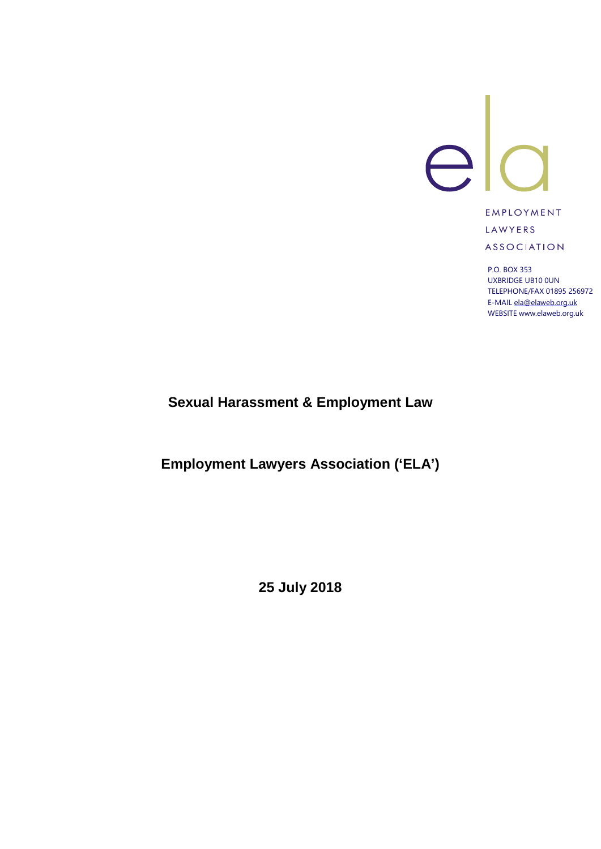

**EMPLOYMENT** LAWYERS **ASSOCIATION** 

P.O. BOX 353 UXBRIDGE UB10 0UN TELEPHONE/FAX 01895 256972 E-MAI[L ela@elaweb.org.uk](mailto:ela@elaweb.org.uk) WEBSITE www.elaweb.org.uk

**Sexual Harassment & Employment Law**

**Employment Lawyers Association ('ELA')**

**25 July 2018**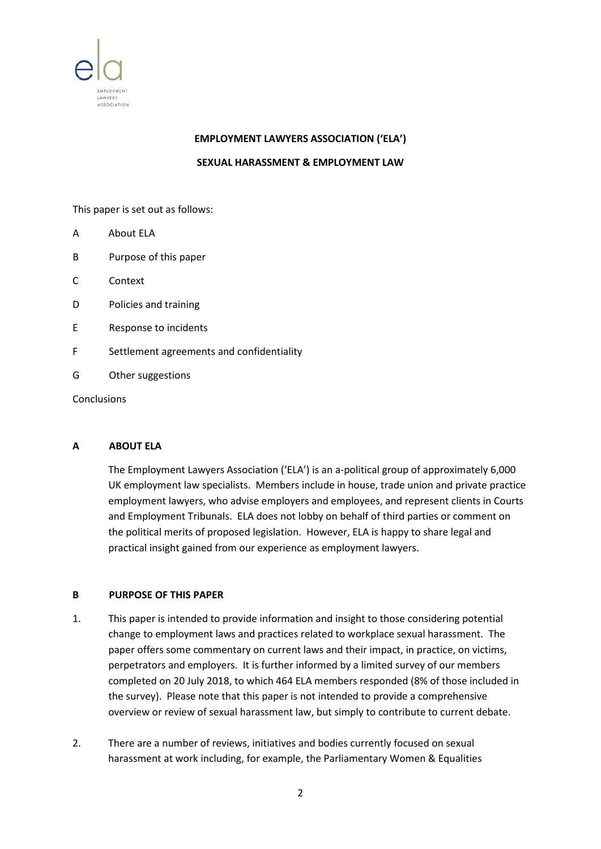

### **EMPLOYMENT LAWYERS ASSOCIATION ('ELA')**

**SEXUAL HARASSMENT & EMPLOYMENT LAW**

This paper is set out as follows:

- A About ELA
- B Purpose of this paper
- C Context
- D Policies and training
- E Response to incidents
- F Settlement agreements and confidentiality
- G Other suggestions

Conclusions

## **A ABOUT ELA**

The Employment Lawyers Association ('ELA') is an a-political group of approximately 6,000 UK employment law specialists. Members include in house, trade union and private practice employment lawyers, who advise employers and employees, and represent clients in Courts and Employment Tribunals. ELA does not lobby on behalf of third parties or comment on the political merits of proposed legislation. However, ELA is happy to share legal and practical insight gained from our experience as employment lawyers.

#### **B PURPOSE OF THIS PAPER**

- 1. This paper is intended to provide information and insight to those considering potential change to employment laws and practices related to workplace sexual harassment. The paper offers some commentary on current laws and their impact, in practice, on victims, perpetrators and employers. It is further informed by a limited survey of our members completed on 20 July 2018, to which 464 ELA members responded (8% of those included in the survey). Please note that this paper is not intended to provide a comprehensive overview or review of sexual harassment law, but simply to contribute to current debate.
- 2. There are a number of reviews, initiatives and bodies currently focused on sexual harassment at work including, for example, the Parliamentary Women & Equalities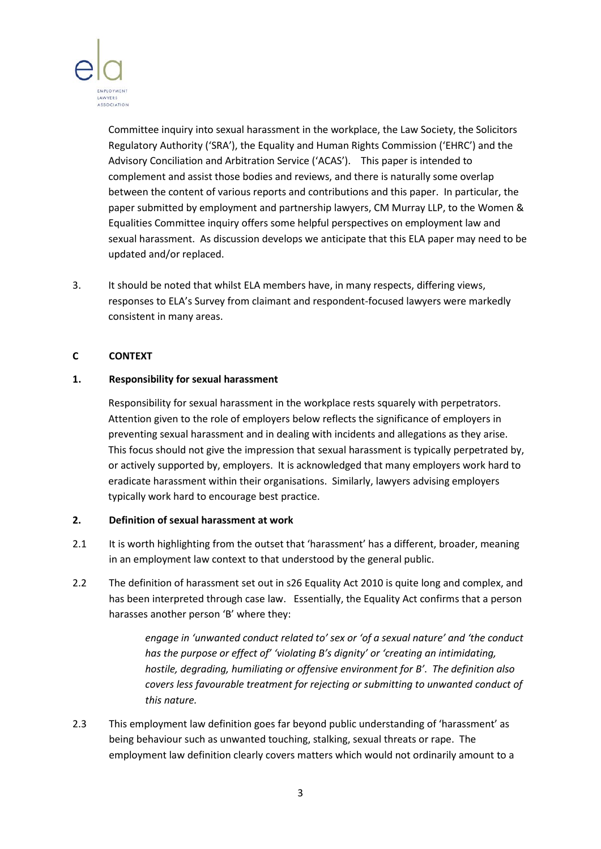

Committee inquiry into sexual harassment in the workplace, the Law Society, the Solicitors Regulatory Authority ('SRA'), the Equality and Human Rights Commission ('EHRC') and the Advisory Conciliation and Arbitration Service ('ACAS'). This paper is intended to complement and assist those bodies and reviews, and there is naturally some overlap between the content of various reports and contributions and this paper. In particular, the paper submitted by employment and partnership lawyers, CM Murray LLP, to the Women & Equalities Committee inquiry offers some helpful perspectives on employment law and sexual harassment. As discussion develops we anticipate that this ELA paper may need to be updated and/or replaced.

3. It should be noted that whilst ELA members have, in many respects, differing views, responses to ELA's Survey from claimant and respondent-focused lawyers were markedly consistent in many areas.

### **C CONTEXT**

### **1. Responsibility for sexual harassment**

Responsibility for sexual harassment in the workplace rests squarely with perpetrators. Attention given to the role of employers below reflects the significance of employers in preventing sexual harassment and in dealing with incidents and allegations as they arise. This focus should not give the impression that sexual harassment is typically perpetrated by, or actively supported by, employers. It is acknowledged that many employers work hard to eradicate harassment within their organisations. Similarly, lawyers advising employers typically work hard to encourage best practice.

## **2. Definition of sexual harassment at work**

- 2.1 It is worth highlighting from the outset that 'harassment' has a different, broader, meaning in an employment law context to that understood by the general public.
- 2.2 The definition of harassment set out in s26 Equality Act 2010 is quite long and complex, and has been interpreted through case law. Essentially, the Equality Act confirms that a person harasses another person 'B' where they:

*engage in 'unwanted conduct related to' sex or 'of a sexual nature' and 'the conduct has the purpose or effect of' 'violating B's dignity' or 'creating an intimidating, hostile, degrading, humiliating or offensive environment for B'*. *The definition also covers less favourable treatment for rejecting or submitting to unwanted conduct of this nature.*

2.3 This employment law definition goes far beyond public understanding of 'harassment' as being behaviour such as unwanted touching, stalking, sexual threats or rape. The employment law definition clearly covers matters which would not ordinarily amount to a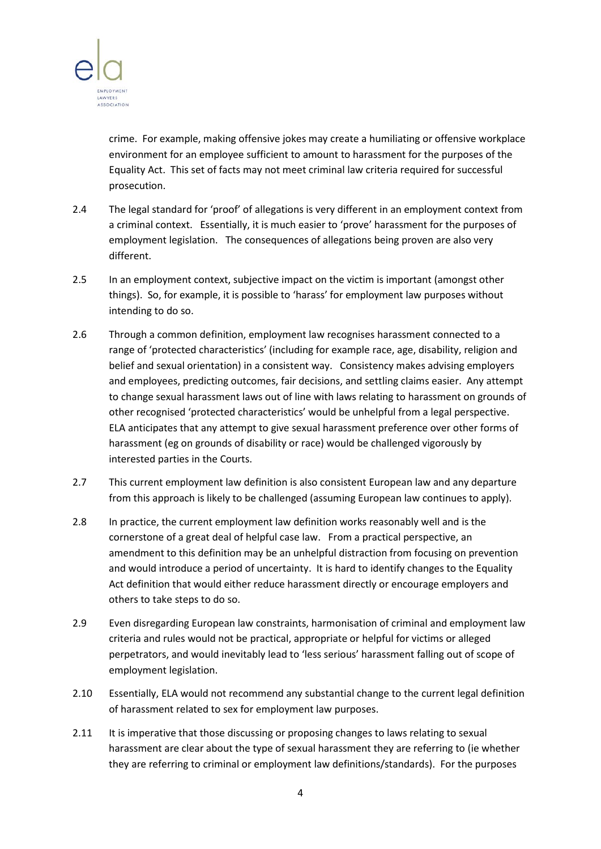

crime. For example, making offensive jokes may create a humiliating or offensive workplace environment for an employee sufficient to amount to harassment for the purposes of the Equality Act. This set of facts may not meet criminal law criteria required for successful prosecution.

- 2.4 The legal standard for 'proof' of allegations is very different in an employment context from a criminal context. Essentially, it is much easier to 'prove' harassment for the purposes of employment legislation. The consequences of allegations being proven are also very different.
- 2.5 In an employment context, subjective impact on the victim is important (amongst other things). So, for example, it is possible to 'harass' for employment law purposes without intending to do so.
- 2.6 Through a common definition, employment law recognises harassment connected to a range of 'protected characteristics' (including for example race, age, disability, religion and belief and sexual orientation) in a consistent way. Consistency makes advising employers and employees, predicting outcomes, fair decisions, and settling claims easier. Any attempt to change sexual harassment laws out of line with laws relating to harassment on grounds of other recognised 'protected characteristics' would be unhelpful from a legal perspective. ELA anticipates that any attempt to give sexual harassment preference over other forms of harassment (eg on grounds of disability or race) would be challenged vigorously by interested parties in the Courts.
- 2.7 This current employment law definition is also consistent European law and any departure from this approach is likely to be challenged (assuming European law continues to apply).
- 2.8 In practice, the current employment law definition works reasonably well and is the cornerstone of a great deal of helpful case law. From a practical perspective, an amendment to this definition may be an unhelpful distraction from focusing on prevention and would introduce a period of uncertainty. It is hard to identify changes to the Equality Act definition that would either reduce harassment directly or encourage employers and others to take steps to do so.
- 2.9 Even disregarding European law constraints, harmonisation of criminal and employment law criteria and rules would not be practical, appropriate or helpful for victims or alleged perpetrators, and would inevitably lead to 'less serious' harassment falling out of scope of employment legislation.
- 2.10 Essentially, ELA would not recommend any substantial change to the current legal definition of harassment related to sex for employment law purposes.
- 2.11 It is imperative that those discussing or proposing changes to laws relating to sexual harassment are clear about the type of sexual harassment they are referring to (ie whether they are referring to criminal or employment law definitions/standards). For the purposes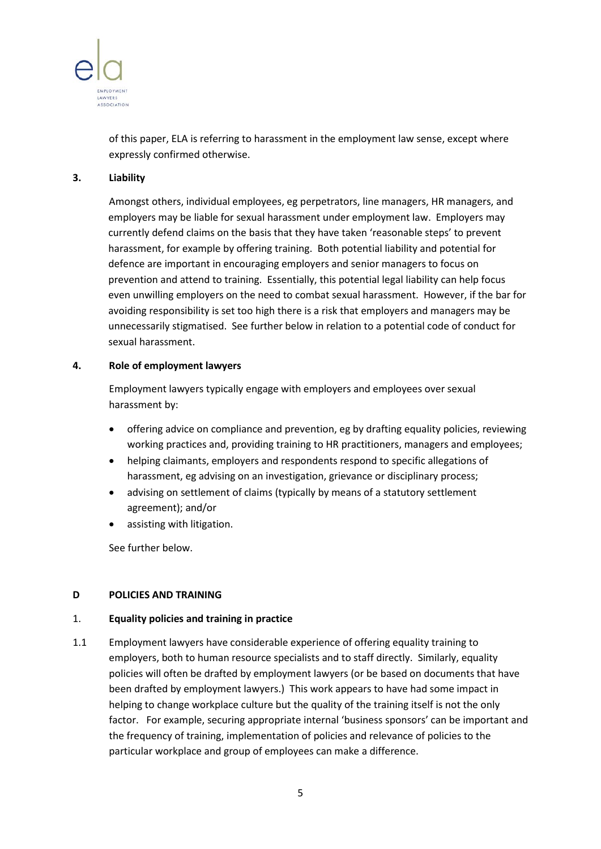

of this paper, ELA is referring to harassment in the employment law sense, except where expressly confirmed otherwise.

### **3. Liability**

Amongst others, individual employees, eg perpetrators, line managers, HR managers, and employers may be liable for sexual harassment under employment law. Employers may currently defend claims on the basis that they have taken 'reasonable steps' to prevent harassment, for example by offering training. Both potential liability and potential for defence are important in encouraging employers and senior managers to focus on prevention and attend to training. Essentially, this potential legal liability can help focus even unwilling employers on the need to combat sexual harassment. However, if the bar for avoiding responsibility is set too high there is a risk that employers and managers may be unnecessarily stigmatised. See further below in relation to a potential code of conduct for sexual harassment.

### **4. Role of employment lawyers**

Employment lawyers typically engage with employers and employees over sexual harassment by:

- offering advice on compliance and prevention, eg by drafting equality policies, reviewing working practices and, providing training to HR practitioners, managers and employees;
- helping claimants, employers and respondents respond to specific allegations of harassment, eg advising on an investigation, grievance or disciplinary process;
- advising on settlement of claims (typically by means of a statutory settlement agreement); and/or
- assisting with litigation.

See further below.

## **D POLICIES AND TRAINING**

## 1. **Equality policies and training in practice**

1.1 Employment lawyers have considerable experience of offering equality training to employers, both to human resource specialists and to staff directly. Similarly, equality policies will often be drafted by employment lawyers (or be based on documents that have been drafted by employment lawyers.) This work appears to have had some impact in helping to change workplace culture but the quality of the training itself is not the only factor. For example, securing appropriate internal 'business sponsors' can be important and the frequency of training, implementation of policies and relevance of policies to the particular workplace and group of employees can make a difference.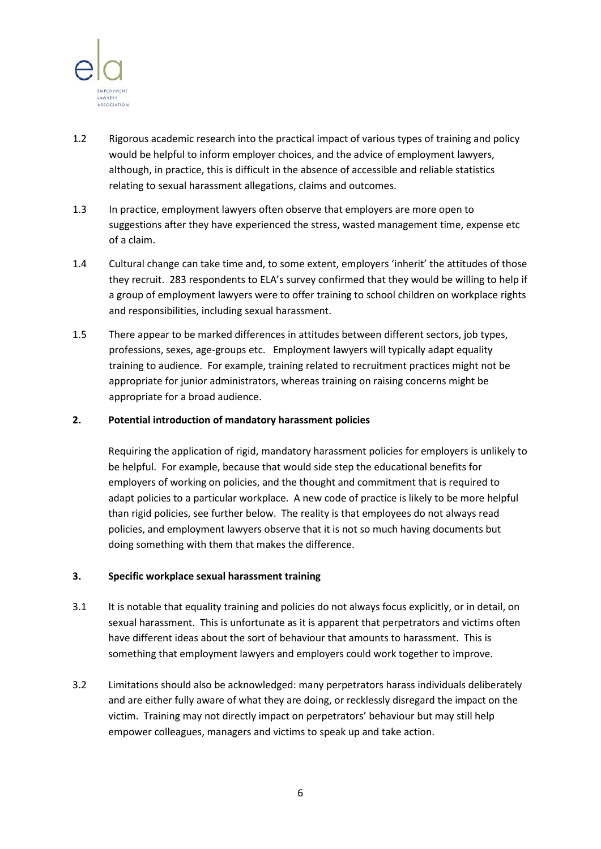

- 1.2 Rigorous academic research into the practical impact of various types of training and policy would be helpful to inform employer choices, and the advice of employment lawyers, although, in practice, this is difficult in the absence of accessible and reliable statistics relating to sexual harassment allegations, claims and outcomes.
- 1.3 In practice, employment lawyers often observe that employers are more open to suggestions after they have experienced the stress, wasted management time, expense etc of a claim.
- 1.4 Cultural change can take time and, to some extent, employers 'inherit' the attitudes of those they recruit. 283 respondents to ELA's survey confirmed that they would be willing to help if a group of employment lawyers were to offer training to school children on workplace rights and responsibilities, including sexual harassment.
- 1.5 There appear to be marked differences in attitudes between different sectors, job types, professions, sexes, age-groups etc. Employment lawyers will typically adapt equality training to audience. For example, training related to recruitment practices might not be appropriate for junior administrators, whereas training on raising concerns might be appropriate for a broad audience.

### **2. Potential introduction of mandatory harassment policies**

Requiring the application of rigid, mandatory harassment policies for employers is unlikely to be helpful. For example, because that would side step the educational benefits for employers of working on policies, and the thought and commitment that is required to adapt policies to a particular workplace. A new code of practice is likely to be more helpful than rigid policies, see further below. The reality is that employees do not always read policies, and employment lawyers observe that it is not so much having documents but doing something with them that makes the difference.

#### **3. Specific workplace sexual harassment training**

- 3.1 It is notable that equality training and policies do not always focus explicitly, or in detail, on sexual harassment. This is unfortunate as it is apparent that perpetrators and victims often have different ideas about the sort of behaviour that amounts to harassment. This is something that employment lawyers and employers could work together to improve.
- 3.2 Limitations should also be acknowledged: many perpetrators harass individuals deliberately and are either fully aware of what they are doing, or recklessly disregard the impact on the victim. Training may not directly impact on perpetrators' behaviour but may still help empower colleagues, managers and victims to speak up and take action.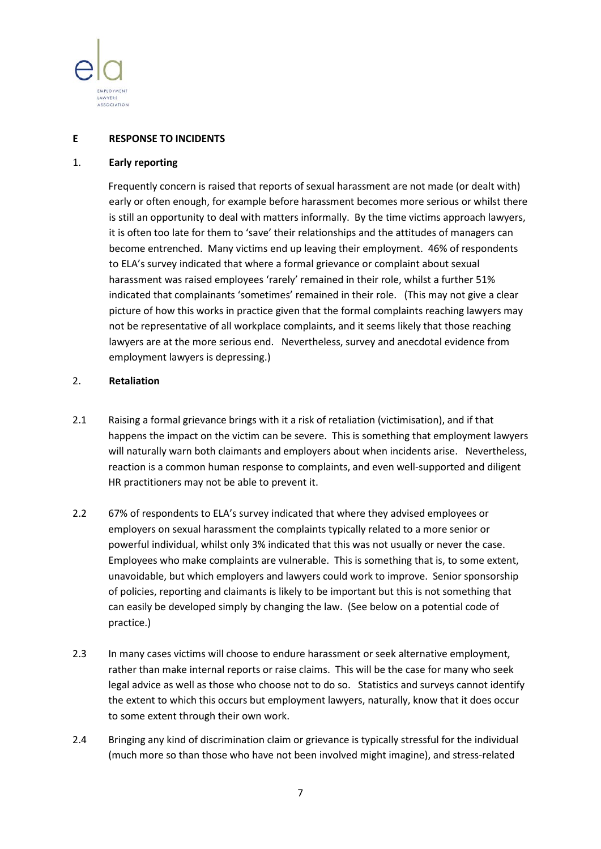

### **E RESPONSE TO INCIDENTS**

#### 1. **Early reporting**

Frequently concern is raised that reports of sexual harassment are not made (or dealt with) early or often enough, for example before harassment becomes more serious or whilst there is still an opportunity to deal with matters informally. By the time victims approach lawyers, it is often too late for them to 'save' their relationships and the attitudes of managers can become entrenched. Many victims end up leaving their employment. 46% of respondents to ELA's survey indicated that where a formal grievance or complaint about sexual harassment was raised employees 'rarely' remained in their role, whilst a further 51% indicated that complainants 'sometimes' remained in their role. (This may not give a clear picture of how this works in practice given that the formal complaints reaching lawyers may not be representative of all workplace complaints, and it seems likely that those reaching lawyers are at the more serious end. Nevertheless, survey and anecdotal evidence from employment lawyers is depressing.)

#### 2. **Retaliation**

- 2.1 Raising a formal grievance brings with it a risk of retaliation (victimisation), and if that happens the impact on the victim can be severe. This is something that employment lawyers will naturally warn both claimants and employers about when incidents arise. Nevertheless, reaction is a common human response to complaints, and even well-supported and diligent HR practitioners may not be able to prevent it.
- 2.2 67% of respondents to ELA's survey indicated that where they advised employees or employers on sexual harassment the complaints typically related to a more senior or powerful individual, whilst only 3% indicated that this was not usually or never the case. Employees who make complaints are vulnerable. This is something that is, to some extent, unavoidable, but which employers and lawyers could work to improve. Senior sponsorship of policies, reporting and claimants is likely to be important but this is not something that can easily be developed simply by changing the law. (See below on a potential code of practice.)
- 2.3 In many cases victims will choose to endure harassment or seek alternative employment, rather than make internal reports or raise claims. This will be the case for many who seek legal advice as well as those who choose not to do so. Statistics and surveys cannot identify the extent to which this occurs but employment lawyers, naturally, know that it does occur to some extent through their own work.
- 2.4 Bringing any kind of discrimination claim or grievance is typically stressful for the individual (much more so than those who have not been involved might imagine), and stress-related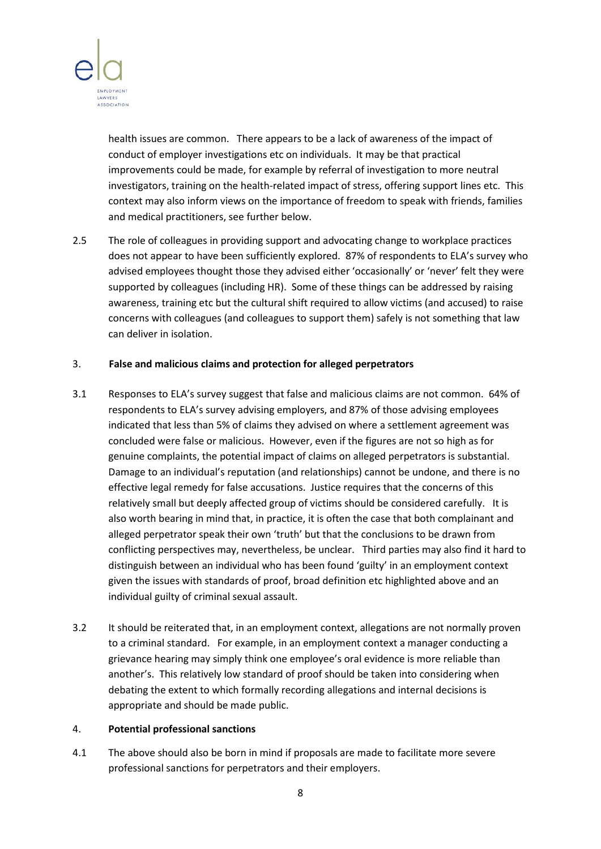

health issues are common. There appears to be a lack of awareness of the impact of conduct of employer investigations etc on individuals. It may be that practical improvements could be made, for example by referral of investigation to more neutral investigators, training on the health-related impact of stress, offering support lines etc. This context may also inform views on the importance of freedom to speak with friends, families and medical practitioners, see further below.

2.5 The role of colleagues in providing support and advocating change to workplace practices does not appear to have been sufficiently explored. 87% of respondents to ELA's survey who advised employees thought those they advised either 'occasionally' or 'never' felt they were supported by colleagues (including HR). Some of these things can be addressed by raising awareness, training etc but the cultural shift required to allow victims (and accused) to raise concerns with colleagues (and colleagues to support them) safely is not something that law can deliver in isolation.

### 3. **False and malicious claims and protection for alleged perpetrators**

- 3.1 Responses to ELA's survey suggest that false and malicious claims are not common. 64% of respondents to ELA's survey advising employers, and 87% of those advising employees indicated that less than 5% of claims they advised on where a settlement agreement was concluded were false or malicious. However, even if the figures are not so high as for genuine complaints, the potential impact of claims on alleged perpetrators is substantial. Damage to an individual's reputation (and relationships) cannot be undone, and there is no effective legal remedy for false accusations. Justice requires that the concerns of this relatively small but deeply affected group of victims should be considered carefully. It is also worth bearing in mind that, in practice, it is often the case that both complainant and alleged perpetrator speak their own 'truth' but that the conclusions to be drawn from conflicting perspectives may, nevertheless, be unclear. Third parties may also find it hard to distinguish between an individual who has been found 'guilty' in an employment context given the issues with standards of proof, broad definition etc highlighted above and an individual guilty of criminal sexual assault.
- 3.2 It should be reiterated that, in an employment context, allegations are not normally proven to a criminal standard. For example, in an employment context a manager conducting a grievance hearing may simply think one employee's oral evidence is more reliable than another's. This relatively low standard of proof should be taken into considering when debating the extent to which formally recording allegations and internal decisions is appropriate and should be made public.

### 4. **Potential professional sanctions**

4.1 The above should also be born in mind if proposals are made to facilitate more severe professional sanctions for perpetrators and their employers.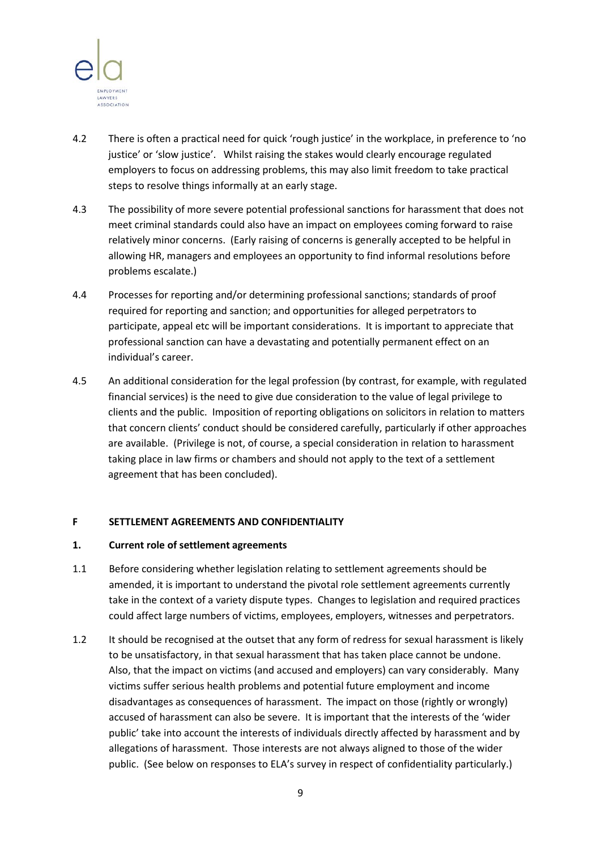

- 4.2 There is often a practical need for quick 'rough justice' in the workplace, in preference to 'no justice' or 'slow justice'. Whilst raising the stakes would clearly encourage regulated employers to focus on addressing problems, this may also limit freedom to take practical steps to resolve things informally at an early stage.
- 4.3 The possibility of more severe potential professional sanctions for harassment that does not meet criminal standards could also have an impact on employees coming forward to raise relatively minor concerns. (Early raising of concerns is generally accepted to be helpful in allowing HR, managers and employees an opportunity to find informal resolutions before problems escalate.)
- 4.4 Processes for reporting and/or determining professional sanctions; standards of proof required for reporting and sanction; and opportunities for alleged perpetrators to participate, appeal etc will be important considerations. It is important to appreciate that professional sanction can have a devastating and potentially permanent effect on an individual's career.
- 4.5 An additional consideration for the legal profession (by contrast, for example, with regulated financial services) is the need to give due consideration to the value of legal privilege to clients and the public. Imposition of reporting obligations on solicitors in relation to matters that concern clients' conduct should be considered carefully, particularly if other approaches are available. (Privilege is not, of course, a special consideration in relation to harassment taking place in law firms or chambers and should not apply to the text of a settlement agreement that has been concluded).

#### **F SETTLEMENT AGREEMENTS AND CONFIDENTIALITY**

#### **1. Current role of settlement agreements**

- 1.1 Before considering whether legislation relating to settlement agreements should be amended, it is important to understand the pivotal role settlement agreements currently take in the context of a variety dispute types. Changes to legislation and required practices could affect large numbers of victims, employees, employers, witnesses and perpetrators.
- 1.2 It should be recognised at the outset that any form of redress for sexual harassment is likely to be unsatisfactory, in that sexual harassment that has taken place cannot be undone. Also, that the impact on victims (and accused and employers) can vary considerably. Many victims suffer serious health problems and potential future employment and income disadvantages as consequences of harassment. The impact on those (rightly or wrongly) accused of harassment can also be severe. It is important that the interests of the 'wider public' take into account the interests of individuals directly affected by harassment and by allegations of harassment. Those interests are not always aligned to those of the wider public. (See below on responses to ELA's survey in respect of confidentiality particularly.)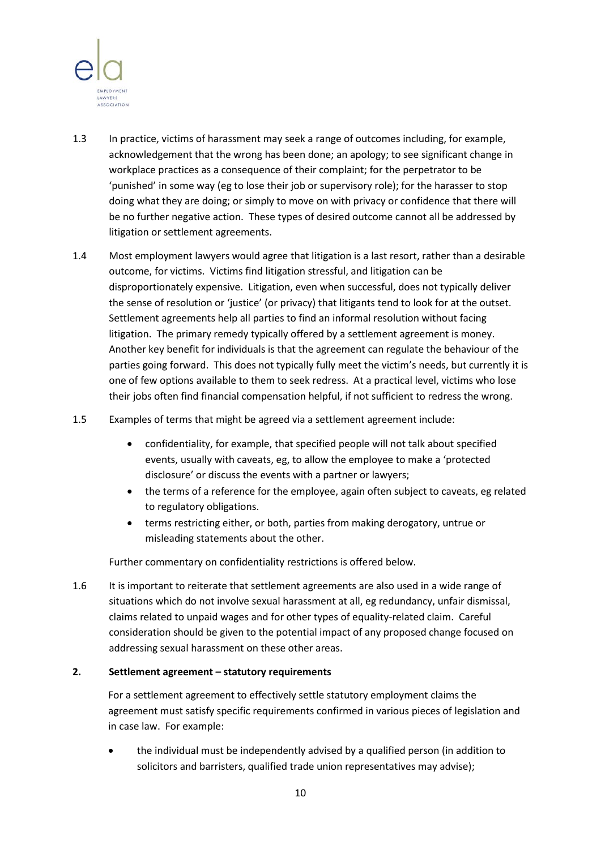

- 1.3 In practice, victims of harassment may seek a range of outcomes including, for example, acknowledgement that the wrong has been done; an apology; to see significant change in workplace practices as a consequence of their complaint; for the perpetrator to be 'punished' in some way (eg to lose their job or supervisory role); for the harasser to stop doing what they are doing; or simply to move on with privacy or confidence that there will be no further negative action. These types of desired outcome cannot all be addressed by litigation or settlement agreements.
- 1.4 Most employment lawyers would agree that litigation is a last resort, rather than a desirable outcome, for victims. Victims find litigation stressful, and litigation can be disproportionately expensive. Litigation, even when successful, does not typically deliver the sense of resolution or 'justice' (or privacy) that litigants tend to look for at the outset. Settlement agreements help all parties to find an informal resolution without facing litigation. The primary remedy typically offered by a settlement agreement is money. Another key benefit for individuals is that the agreement can regulate the behaviour of the parties going forward. This does not typically fully meet the victim's needs, but currently it is one of few options available to them to seek redress. At a practical level, victims who lose their jobs often find financial compensation helpful, if not sufficient to redress the wrong.
- 1.5 Examples of terms that might be agreed via a settlement agreement include:
	- confidentiality, for example, that specified people will not talk about specified events, usually with caveats, eg, to allow the employee to make a 'protected disclosure' or discuss the events with a partner or lawyers;
	- the terms of a reference for the employee, again often subject to caveats, eg related to regulatory obligations.
	- terms restricting either, or both, parties from making derogatory, untrue or misleading statements about the other.

Further commentary on confidentiality restrictions is offered below.

1.6 It is important to reiterate that settlement agreements are also used in a wide range of situations which do not involve sexual harassment at all, eg redundancy, unfair dismissal, claims related to unpaid wages and for other types of equality-related claim. Careful consideration should be given to the potential impact of any proposed change focused on addressing sexual harassment on these other areas.

## **2. Settlement agreement – statutory requirements**

For a settlement agreement to effectively settle statutory employment claims the agreement must satisfy specific requirements confirmed in various pieces of legislation and in case law. For example:

• the individual must be independently advised by a qualified person (in addition to solicitors and barristers, qualified trade union representatives may advise);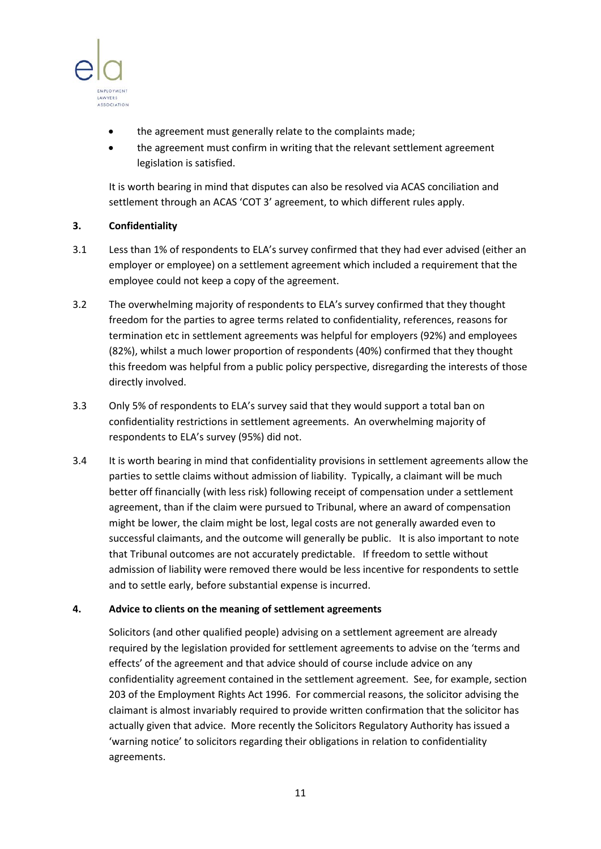

- the agreement must generally relate to the complaints made;
- the agreement must confirm in writing that the relevant settlement agreement legislation is satisfied.

It is worth bearing in mind that disputes can also be resolved via ACAS conciliation and settlement through an ACAS 'COT 3' agreement, to which different rules apply.

# **3. Confidentiality**

- 3.1 Less than 1% of respondents to ELA's survey confirmed that they had ever advised (either an employer or employee) on a settlement agreement which included a requirement that the employee could not keep a copy of the agreement.
- 3.2 The overwhelming majority of respondents to ELA's survey confirmed that they thought freedom for the parties to agree terms related to confidentiality, references, reasons for termination etc in settlement agreements was helpful for employers (92%) and employees (82%), whilst a much lower proportion of respondents (40%) confirmed that they thought this freedom was helpful from a public policy perspective, disregarding the interests of those directly involved.
- 3.3 Only 5% of respondents to ELA's survey said that they would support a total ban on confidentiality restrictions in settlement agreements. An overwhelming majority of respondents to ELA's survey (95%) did not.
- 3.4 It is worth bearing in mind that confidentiality provisions in settlement agreements allow the parties to settle claims without admission of liability. Typically, a claimant will be much better off financially (with less risk) following receipt of compensation under a settlement agreement, than if the claim were pursued to Tribunal, where an award of compensation might be lower, the claim might be lost, legal costs are not generally awarded even to successful claimants, and the outcome will generally be public. It is also important to note that Tribunal outcomes are not accurately predictable. If freedom to settle without admission of liability were removed there would be less incentive for respondents to settle and to settle early, before substantial expense is incurred.

## **4. Advice to clients on the meaning of settlement agreements**

Solicitors (and other qualified people) advising on a settlement agreement are already required by the legislation provided for settlement agreements to advise on the 'terms and effects' of the agreement and that advice should of course include advice on any confidentiality agreement contained in the settlement agreement. See, for example, section 203 of the Employment Rights Act 1996. For commercial reasons, the solicitor advising the claimant is almost invariably required to provide written confirmation that the solicitor has actually given that advice. More recently the Solicitors Regulatory Authority has issued a 'warning notice' to solicitors regarding their obligations in relation to confidentiality agreements.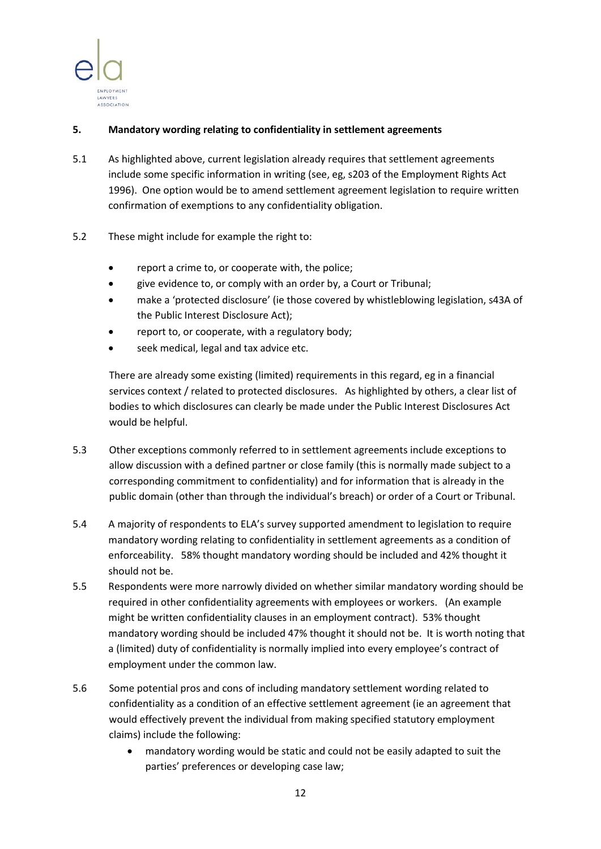

## **5. Mandatory wording relating to confidentiality in settlement agreements**

- 5.1 As highlighted above, current legislation already requires that settlement agreements include some specific information in writing (see, eg, s203 of the Employment Rights Act 1996). One option would be to amend settlement agreement legislation to require written confirmation of exemptions to any confidentiality obligation.
- 5.2 These might include for example the right to:
	- report a crime to, or cooperate with, the police;
	- give evidence to, or comply with an order by, a Court or Tribunal;
	- make a 'protected disclosure' (ie those covered by whistleblowing legislation, s43A of the Public Interest Disclosure Act);
	- report to, or cooperate, with a regulatory body;
	- seek medical, legal and tax advice etc.

There are already some existing (limited) requirements in this regard, eg in a financial services context / related to protected disclosures. As highlighted by others, a clear list of bodies to which disclosures can clearly be made under the Public Interest Disclosures Act would be helpful.

- 5.3 Other exceptions commonly referred to in settlement agreements include exceptions to allow discussion with a defined partner or close family (this is normally made subject to a corresponding commitment to confidentiality) and for information that is already in the public domain (other than through the individual's breach) or order of a Court or Tribunal.
- 5.4 A majority of respondents to ELA's survey supported amendment to legislation to require mandatory wording relating to confidentiality in settlement agreements as a condition of enforceability. 58% thought mandatory wording should be included and 42% thought it should not be.
- 5.5 Respondents were more narrowly divided on whether similar mandatory wording should be required in other confidentiality agreements with employees or workers. (An example might be written confidentiality clauses in an employment contract). 53% thought mandatory wording should be included 47% thought it should not be. It is worth noting that a (limited) duty of confidentiality is normally implied into every employee's contract of employment under the common law.
- 5.6 Some potential pros and cons of including mandatory settlement wording related to confidentiality as a condition of an effective settlement agreement (ie an agreement that would effectively prevent the individual from making specified statutory employment claims) include the following:
	- mandatory wording would be static and could not be easily adapted to suit the parties' preferences or developing case law;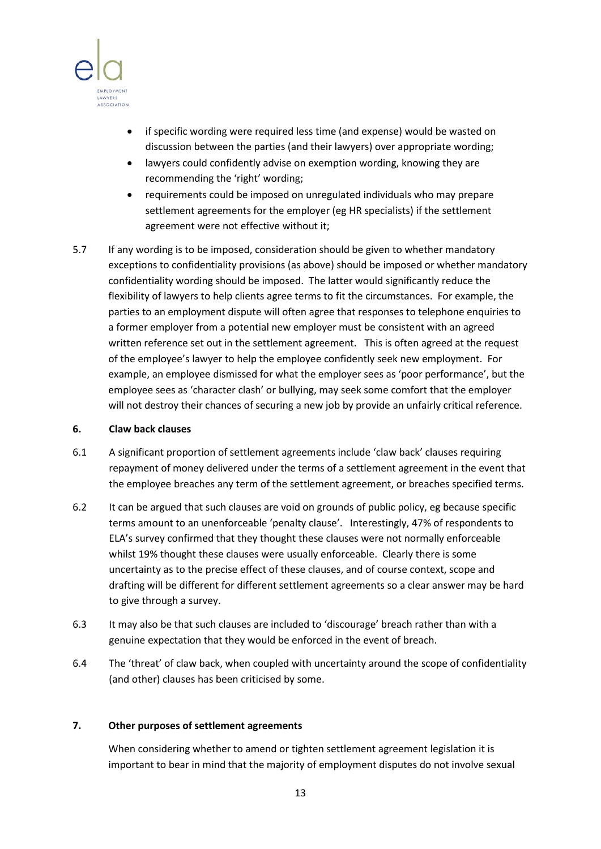

- if specific wording were required less time (and expense) would be wasted on discussion between the parties (and their lawyers) over appropriate wording;
- lawyers could confidently advise on exemption wording, knowing they are recommending the 'right' wording;
- requirements could be imposed on unregulated individuals who may prepare settlement agreements for the employer (eg HR specialists) if the settlement agreement were not effective without it;
- 5.7 If any wording is to be imposed, consideration should be given to whether mandatory exceptions to confidentiality provisions (as above) should be imposed or whether mandatory confidentiality wording should be imposed. The latter would significantly reduce the flexibility of lawyers to help clients agree terms to fit the circumstances. For example, the parties to an employment dispute will often agree that responses to telephone enquiries to a former employer from a potential new employer must be consistent with an agreed written reference set out in the settlement agreement. This is often agreed at the request of the employee's lawyer to help the employee confidently seek new employment. For example, an employee dismissed for what the employer sees as 'poor performance', but the employee sees as 'character clash' or bullying, may seek some comfort that the employer will not destroy their chances of securing a new job by provide an unfairly critical reference.

#### **6. Claw back clauses**

- 6.1 A significant proportion of settlement agreements include 'claw back' clauses requiring repayment of money delivered under the terms of a settlement agreement in the event that the employee breaches any term of the settlement agreement, or breaches specified terms.
- 6.2 It can be argued that such clauses are void on grounds of public policy, eg because specific terms amount to an unenforceable 'penalty clause'. Interestingly, 47% of respondents to ELA's survey confirmed that they thought these clauses were not normally enforceable whilst 19% thought these clauses were usually enforceable. Clearly there is some uncertainty as to the precise effect of these clauses, and of course context, scope and drafting will be different for different settlement agreements so a clear answer may be hard to give through a survey.
- 6.3 It may also be that such clauses are included to 'discourage' breach rather than with a genuine expectation that they would be enforced in the event of breach.
- 6.4 The 'threat' of claw back, when coupled with uncertainty around the scope of confidentiality (and other) clauses has been criticised by some.

#### **7. Other purposes of settlement agreements**

When considering whether to amend or tighten settlement agreement legislation it is important to bear in mind that the majority of employment disputes do not involve sexual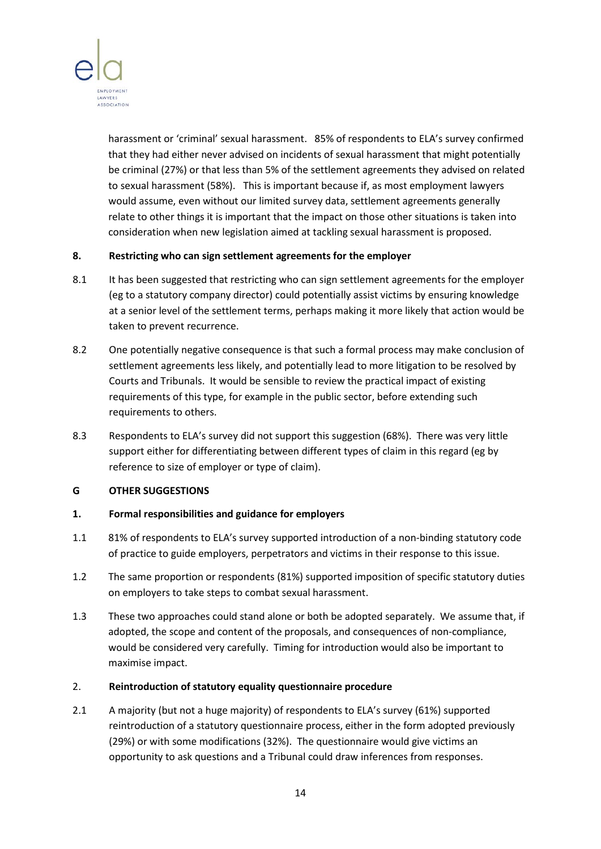

harassment or 'criminal' sexual harassment. 85% of respondents to ELA's survey confirmed that they had either never advised on incidents of sexual harassment that might potentially be criminal (27%) or that less than 5% of the settlement agreements they advised on related to sexual harassment (58%). This is important because if, as most employment lawyers would assume, even without our limited survey data, settlement agreements generally relate to other things it is important that the impact on those other situations is taken into consideration when new legislation aimed at tackling sexual harassment is proposed.

## **8. Restricting who can sign settlement agreements for the employer**

- 8.1 It has been suggested that restricting who can sign settlement agreements for the employer (eg to a statutory company director) could potentially assist victims by ensuring knowledge at a senior level of the settlement terms, perhaps making it more likely that action would be taken to prevent recurrence.
- 8.2 One potentially negative consequence is that such a formal process may make conclusion of settlement agreements less likely, and potentially lead to more litigation to be resolved by Courts and Tribunals. It would be sensible to review the practical impact of existing requirements of this type, for example in the public sector, before extending such requirements to others.
- 8.3 Respondents to ELA's survey did not support this suggestion (68%). There was very little support either for differentiating between different types of claim in this regard (eg by reference to size of employer or type of claim).

## **G OTHER SUGGESTIONS**

## **1. Formal responsibilities and guidance for employers**

- 1.1 81% of respondents to ELA's survey supported introduction of a non-binding statutory code of practice to guide employers, perpetrators and victims in their response to this issue.
- 1.2 The same proportion or respondents (81%) supported imposition of specific statutory duties on employers to take steps to combat sexual harassment.
- 1.3 These two approaches could stand alone or both be adopted separately. We assume that, if adopted, the scope and content of the proposals, and consequences of non-compliance, would be considered very carefully. Timing for introduction would also be important to maximise impact.

#### 2. **Reintroduction of statutory equality questionnaire procedure**

2.1 A majority (but not a huge majority) of respondents to ELA's survey (61%) supported reintroduction of a statutory questionnaire process, either in the form adopted previously (29%) or with some modifications (32%). The questionnaire would give victims an opportunity to ask questions and a Tribunal could draw inferences from responses.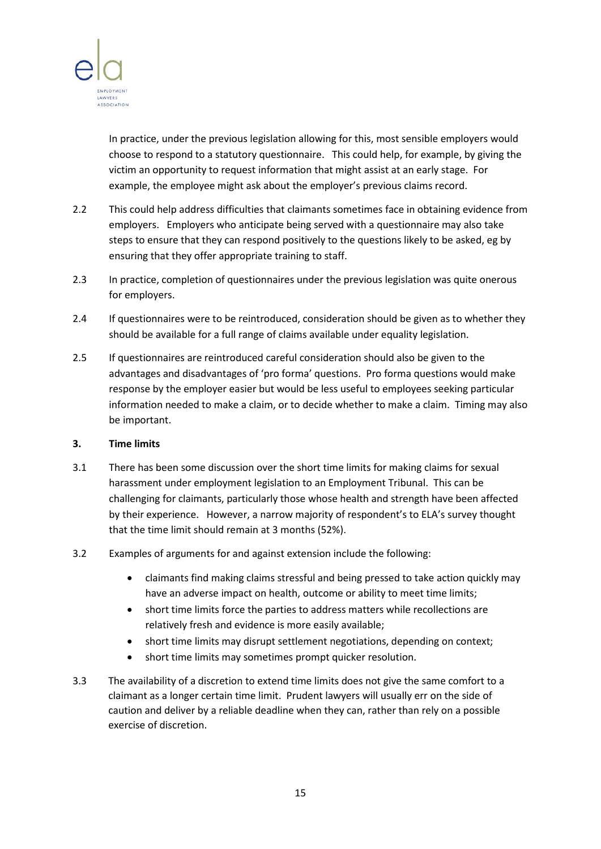

In practice, under the previous legislation allowing for this, most sensible employers would choose to respond to a statutory questionnaire. This could help, for example, by giving the victim an opportunity to request information that might assist at an early stage. For example, the employee might ask about the employer's previous claims record.

- 2.2 This could help address difficulties that claimants sometimes face in obtaining evidence from employers. Employers who anticipate being served with a questionnaire may also take steps to ensure that they can respond positively to the questions likely to be asked, eg by ensuring that they offer appropriate training to staff.
- 2.3 In practice, completion of questionnaires under the previous legislation was quite onerous for employers.
- 2.4 If questionnaires were to be reintroduced, consideration should be given as to whether they should be available for a full range of claims available under equality legislation.
- 2.5 If questionnaires are reintroduced careful consideration should also be given to the advantages and disadvantages of 'pro forma' questions. Pro forma questions would make response by the employer easier but would be less useful to employees seeking particular information needed to make a claim, or to decide whether to make a claim. Timing may also be important.

#### **3. Time limits**

- 3.1 There has been some discussion over the short time limits for making claims for sexual harassment under employment legislation to an Employment Tribunal. This can be challenging for claimants, particularly those whose health and strength have been affected by their experience. However, a narrow majority of respondent's to ELA's survey thought that the time limit should remain at 3 months (52%).
- 3.2 Examples of arguments for and against extension include the following:
	- claimants find making claims stressful and being pressed to take action quickly may have an adverse impact on health, outcome or ability to meet time limits;
	- short time limits force the parties to address matters while recollections are relatively fresh and evidence is more easily available;
	- short time limits may disrupt settlement negotiations, depending on context;
	- short time limits may sometimes prompt quicker resolution.
- 3.3 The availability of a discretion to extend time limits does not give the same comfort to a claimant as a longer certain time limit. Prudent lawyers will usually err on the side of caution and deliver by a reliable deadline when they can, rather than rely on a possible exercise of discretion.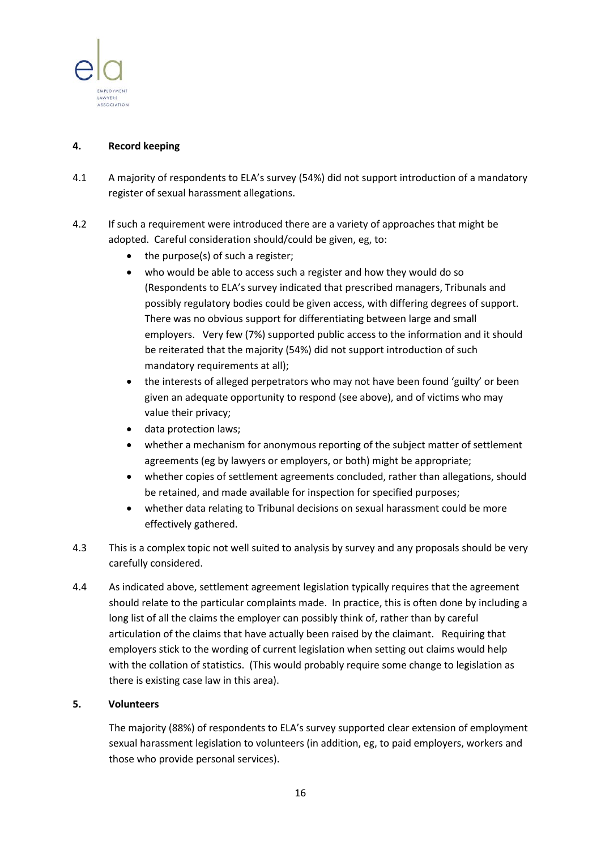

### **4. Record keeping**

- 4.1 A majority of respondents to ELA's survey (54%) did not support introduction of a mandatory register of sexual harassment allegations.
- 4.2 If such a requirement were introduced there are a variety of approaches that might be adopted. Careful consideration should/could be given, eg, to:
	- the purpose(s) of such a register;
	- who would be able to access such a register and how they would do so (Respondents to ELA's survey indicated that prescribed managers, Tribunals and possibly regulatory bodies could be given access, with differing degrees of support. There was no obvious support for differentiating between large and small employers. Very few (7%) supported public access to the information and it should be reiterated that the majority (54%) did not support introduction of such mandatory requirements at all);
	- the interests of alleged perpetrators who may not have been found 'guilty' or been given an adequate opportunity to respond (see above), and of victims who may value their privacy;
	- data protection laws;
	- whether a mechanism for anonymous reporting of the subject matter of settlement agreements (eg by lawyers or employers, or both) might be appropriate;
	- whether copies of settlement agreements concluded, rather than allegations, should be retained, and made available for inspection for specified purposes;
	- whether data relating to Tribunal decisions on sexual harassment could be more effectively gathered.
- 4.3 This is a complex topic not well suited to analysis by survey and any proposals should be very carefully considered.
- 4.4 As indicated above, settlement agreement legislation typically requires that the agreement should relate to the particular complaints made. In practice, this is often done by including a long list of all the claims the employer can possibly think of, rather than by careful articulation of the claims that have actually been raised by the claimant. Requiring that employers stick to the wording of current legislation when setting out claims would help with the collation of statistics. (This would probably require some change to legislation as there is existing case law in this area).

#### **5. Volunteers**

The majority (88%) of respondents to ELA's survey supported clear extension of employment sexual harassment legislation to volunteers (in addition, eg, to paid employers, workers and those who provide personal services).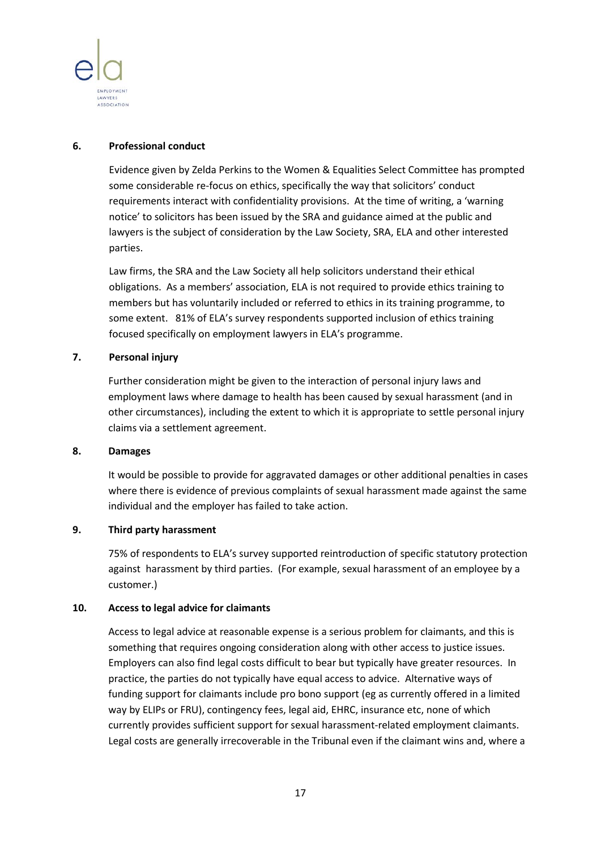

#### **6. Professional conduct**

Evidence given by Zelda Perkins to the Women & Equalities Select Committee has prompted some considerable re-focus on ethics, specifically the way that solicitors' conduct requirements interact with confidentiality provisions. At the time of writing, a 'warning notice' to solicitors has been issued by the SRA and guidance aimed at the public and lawyers is the subject of consideration by the Law Society, SRA, ELA and other interested parties.

Law firms, the SRA and the Law Society all help solicitors understand their ethical obligations. As a members' association, ELA is not required to provide ethics training to members but has voluntarily included or referred to ethics in its training programme, to some extent. 81% of ELA's survey respondents supported inclusion of ethics training focused specifically on employment lawyers in ELA's programme.

### **7. Personal injury**

Further consideration might be given to the interaction of personal injury laws and employment laws where damage to health has been caused by sexual harassment (and in other circumstances), including the extent to which it is appropriate to settle personal injury claims via a settlement agreement.

#### **8. Damages**

It would be possible to provide for aggravated damages or other additional penalties in cases where there is evidence of previous complaints of sexual harassment made against the same individual and the employer has failed to take action.

## **9. Third party harassment**

75% of respondents to ELA's survey supported reintroduction of specific statutory protection against harassment by third parties. (For example, sexual harassment of an employee by a customer.)

## **10. Access to legal advice for claimants**

Access to legal advice at reasonable expense is a serious problem for claimants, and this is something that requires ongoing consideration along with other access to justice issues. Employers can also find legal costs difficult to bear but typically have greater resources. In practice, the parties do not typically have equal access to advice. Alternative ways of funding support for claimants include pro bono support (eg as currently offered in a limited way by ELIPs or FRU), contingency fees, legal aid, EHRC, insurance etc, none of which currently provides sufficient support for sexual harassment-related employment claimants. Legal costs are generally irrecoverable in the Tribunal even if the claimant wins and, where a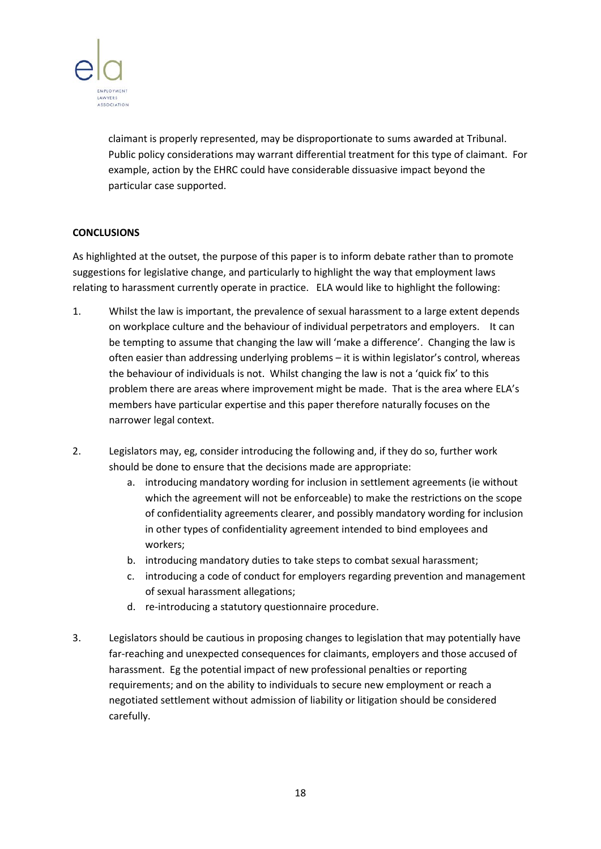

claimant is properly represented, may be disproportionate to sums awarded at Tribunal. Public policy considerations may warrant differential treatment for this type of claimant. For example, action by the EHRC could have considerable dissuasive impact beyond the particular case supported.

## **CONCLUSIONS**

As highlighted at the outset, the purpose of this paper is to inform debate rather than to promote suggestions for legislative change, and particularly to highlight the way that employment laws relating to harassment currently operate in practice. ELA would like to highlight the following:

- 1. Whilst the law is important, the prevalence of sexual harassment to a large extent depends on workplace culture and the behaviour of individual perpetrators and employers. It can be tempting to assume that changing the law will 'make a difference'. Changing the law is often easier than addressing underlying problems – it is within legislator's control, whereas the behaviour of individuals is not. Whilst changing the law is not a 'quick fix' to this problem there are areas where improvement might be made. That is the area where ELA's members have particular expertise and this paper therefore naturally focuses on the narrower legal context.
- 2. Legislators may, eg, consider introducing the following and, if they do so, further work should be done to ensure that the decisions made are appropriate:
	- a. introducing mandatory wording for inclusion in settlement agreements (ie without which the agreement will not be enforceable) to make the restrictions on the scope of confidentiality agreements clearer, and possibly mandatory wording for inclusion in other types of confidentiality agreement intended to bind employees and workers;
	- b. introducing mandatory duties to take steps to combat sexual harassment;
	- c. introducing a code of conduct for employers regarding prevention and management of sexual harassment allegations;
	- d. re-introducing a statutory questionnaire procedure.
- 3. Legislators should be cautious in proposing changes to legislation that may potentially have far-reaching and unexpected consequences for claimants, employers and those accused of harassment. Eg the potential impact of new professional penalties or reporting requirements; and on the ability to individuals to secure new employment or reach a negotiated settlement without admission of liability or litigation should be considered carefully.